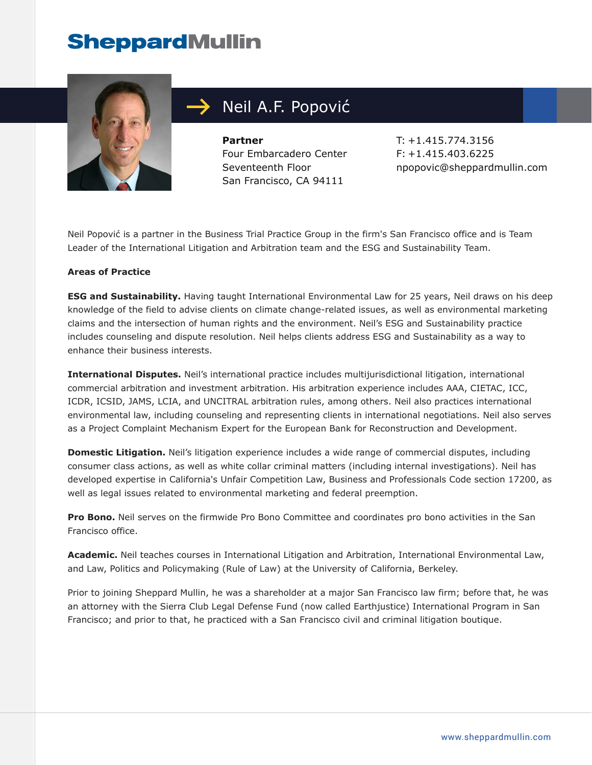

## Neil A.F. Popović

**Partner** Four Embarcadero Center Seventeenth Floor San Francisco, CA 94111

T: +1.415.774.3156 F: +1.415.403.6225 npopovic@sheppardmullin.com

Neil Popović is a partner in the Business Trial Practice Group in the firm's San Francisco office and is Team Leader of the International Litigation and Arbitration team and the ESG and Sustainability Team.

#### **Areas of Practice**

**ESG and Sustainability.** Having taught International Environmental Law for 25 years, Neil draws on his deep knowledge of the field to advise clients on climate change-related issues, as well as environmental marketing claims and the intersection of human rights and the environment. Neil's ESG and Sustainability practice includes counseling and dispute resolution. Neil helps clients address ESG and Sustainability as a way to enhance their business interests.

**International Disputes.** Neil's international practice includes multijurisdictional litigation, international commercial arbitration and investment arbitration. His arbitration experience includes AAA, CIETAC, ICC, ICDR, ICSID, JAMS, LCIA, and UNCITRAL arbitration rules, among others. Neil also practices international environmental law, including counseling and representing clients in international negotiations. Neil also serves as a Project Complaint Mechanism Expert for the European Bank for Reconstruction and Development.

**Domestic Litigation.** Neil's litigation experience includes a wide range of commercial disputes, including consumer class actions, as well as white collar criminal matters (including internal investigations). Neil has developed expertise in California's Unfair Competition Law, Business and Professionals Code section 17200, as well as legal issues related to environmental marketing and federal preemption.

**Pro Bono.** Neil serves on the firmwide Pro Bono Committee and coordinates pro bono activities in the San Francisco office.

**Academic.** Neil teaches courses in International Litigation and Arbitration, International Environmental Law, and Law, Politics and Policymaking (Rule of Law) at the University of California, Berkeley.

Prior to joining Sheppard Mullin, he was a shareholder at a major San Francisco law firm; before that, he was an attorney with the Sierra Club Legal Defense Fund (now called Earthjustice) International Program in San Francisco; and prior to that, he practiced with a San Francisco civil and criminal litigation boutique.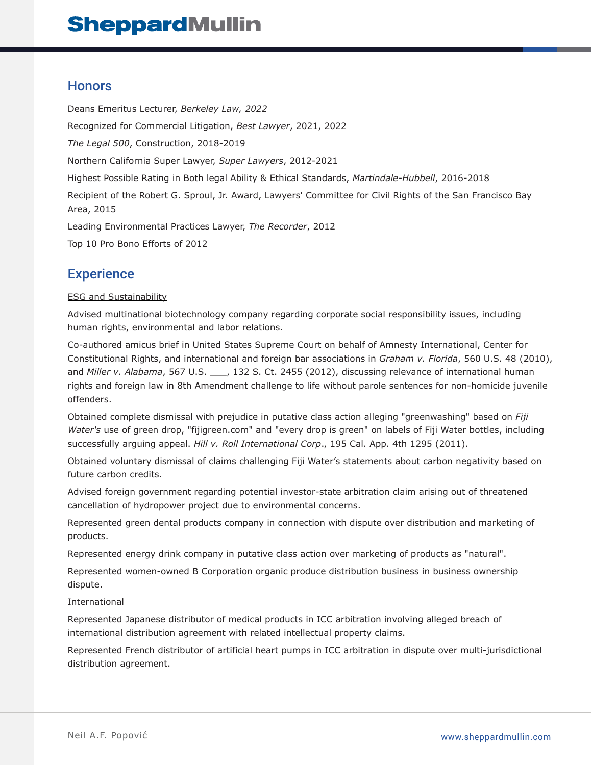#### **Honors**

Deans Emeritus Lecturer, *Berkeley Law, 2022* Recognized for Commercial Litigation, *Best Lawyer*, 2021, 2022 *The Legal 500*, Construction, 2018-2019 Northern California Super Lawyer, *Super Lawyers*, 2012-2021 Highest Possible Rating in Both legal Ability & Ethical Standards, *Martindale-Hubbell*, 2016-2018 Recipient of the Robert G. Sproul, Jr. Award, Lawyers' Committee for Civil Rights of the San Francisco Bay Area, 2015 Leading Environmental Practices Lawyer, *The Recorder*, 2012 Top 10 Pro Bono Efforts of 2012

### **Experience**

#### ESG and Sustainability

Advised multinational biotechnology company regarding corporate social responsibility issues, including human rights, environmental and labor relations.

Co-authored amicus brief in United States Supreme Court on behalf of Amnesty International, Center for Constitutional Rights, and international and foreign bar associations in *Graham v. Florida*, 560 U.S. 48 (2010), and *Miller v. Alabama*, 567 U.S. \_\_\_, 132 S. Ct. 2455 (2012), discussing relevance of international human rights and foreign law in 8th Amendment challenge to life without parole sentences for non-homicide juvenile offenders.

Obtained complete dismissal with prejudice in putative class action alleging "greenwashing" based on *Fiji Water's* use of green drop, "fijigreen.com" and "every drop is green" on labels of Fiji Water bottles, including successfully arguing appeal. *Hill v. Roll International Corp*., 195 Cal. App. 4th 1295 (2011).

Obtained voluntary dismissal of claims challenging Fiji Water's statements about carbon negativity based on future carbon credits.

Advised foreign government regarding potential investor-state arbitration claim arising out of threatened cancellation of hydropower project due to environmental concerns.

Represented green dental products company in connection with dispute over distribution and marketing of products.

Represented energy drink company in putative class action over marketing of products as "natural".

Represented women-owned B Corporation organic produce distribution business in business ownership dispute.

#### International

Represented Japanese distributor of medical products in ICC arbitration involving alleged breach of international distribution agreement with related intellectual property claims.

Represented French distributor of artificial heart pumps in ICC arbitration in dispute over multi-jurisdictional distribution agreement.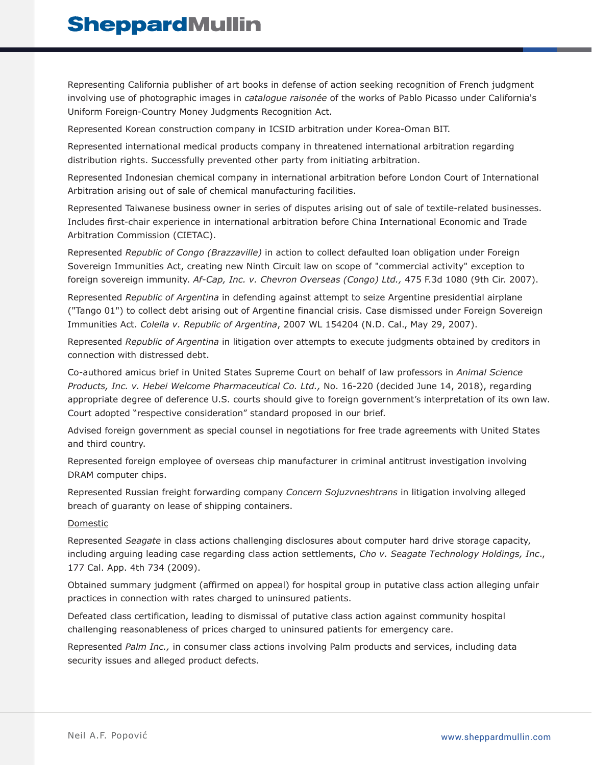Representing California publisher of art books in defense of action seeking recognition of French judgment involving use of photographic images in *catalogue raisonée* of the works of Pablo Picasso under California's Uniform Foreign-Country Money Judgments Recognition Act.

Represented Korean construction company in ICSID arbitration under Korea-Oman BIT.

Represented international medical products company in threatened international arbitration regarding distribution rights. Successfully prevented other party from initiating arbitration.

Represented Indonesian chemical company in international arbitration before London Court of International Arbitration arising out of sale of chemical manufacturing facilities.

Represented Taiwanese business owner in series of disputes arising out of sale of textile-related businesses. Includes first-chair experience in international arbitration before China International Economic and Trade Arbitration Commission (CIETAC).

Represented *Republic of Congo (Brazzaville)* in action to collect defaulted loan obligation under Foreign Sovereign Immunities Act, creating new Ninth Circuit law on scope of "commercial activity" exception to foreign sovereign immunity. *Af-Cap, Inc. v. Chevron Overseas (Congo) Ltd.,* 475 F.3d 1080 (9th Cir. 2007).

Represented *Republic of Argentina* in defending against attempt to seize Argentine presidential airplane ("Tango 01") to collect debt arising out of Argentine financial crisis. Case dismissed under Foreign Sovereign Immunities Act. *Colella v. Republic of Argentina*, 2007 WL 154204 (N.D. Cal., May 29, 2007).

Represented *Republic of Argentina* in litigation over attempts to execute judgments obtained by creditors in connection with distressed debt.

Co-authored amicus brief in United States Supreme Court on behalf of law professors in *Animal Science Products, Inc. v. Hebei Welcome Pharmaceutical Co. Ltd.,* No. 16-220 (decided June 14, 2018), regarding appropriate degree of deference U.S. courts should give to foreign government's interpretation of its own law. Court adopted "respective consideration" standard proposed in our brief.

Advised foreign government as special counsel in negotiations for free trade agreements with United States and third country.

Represented foreign employee of overseas chip manufacturer in criminal antitrust investigation involving DRAM computer chips.

Represented Russian freight forwarding company *Concern Sojuzvneshtrans* in litigation involving alleged breach of guaranty on lease of shipping containers.

#### Domestic

Represented *Seagate* in class actions challenging disclosures about computer hard drive storage capacity, including arguing leading case regarding class action settlements, *Cho v. Seagate Technology Holdings, Inc*., 177 Cal. App. 4th 734 (2009).

Obtained summary judgment (affirmed on appeal) for hospital group in putative class action alleging unfair practices in connection with rates charged to uninsured patients.

Defeated class certification, leading to dismissal of putative class action against community hospital challenging reasonableness of prices charged to uninsured patients for emergency care.

Represented *Palm Inc.,* in consumer class actions involving Palm products and services, including data security issues and alleged product defects.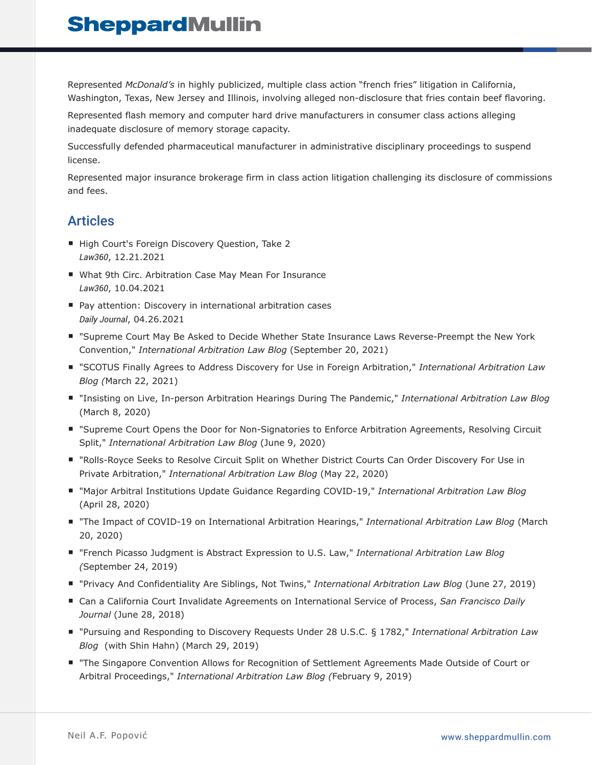Represented *McDonald's* in highly publicized, multiple class action "french fries" litigation in California, Washington, Texas, New Jersey and Illinois, involving alleged non-disclosure that fries contain beef flavoring.

Represented flash memory and computer hard drive manufacturers in consumer class actions alleging inadequate disclosure of memory storage capacity.

Successfully defended pharmaceutical manufacturer in administrative disciplinary proceedings to suspend license.

Represented major insurance brokerage firm in class action litigation challenging its disclosure of commissions and fees.

### Articles

- High Court's Foreign Discovery Question, Take 2 *Law360*, 12.21.2021
- What 9th Circ. Arbitration Case May Mean For Insurance *Law360*, 10.04.2021
- Pay attention: Discovery in international arbitration cases *Daily Journal*, 04.26.2021
- "Supreme Court May Be Asked to Decide Whether State Insurance Laws Reverse-Preempt the New York Convention," *International Arbitration Law Blog* (September 20, 2021)
- "SCOTUS Finally Agrees to Address Discovery for Use in Foreign Arbitration," *International Arbitration Law Blog (*March 22, 2021)
- "Insisting on Live, In-person Arbitration Hearings During The Pandemic," *International Arbitration Law Blog* (March 8, 2020)
- "Supreme Court Opens the Door for Non-Signatories to Enforce Arbitration Agreements, Resolving Circuit Split," *International Arbitration Law Blog* (June 9, 2020)
- "Rolls-Royce Seeks to Resolve Circuit Split on Whether District Courts Can Order Discovery For Use in Private Arbitration," *International Arbitration Law Blog* (May 22, 2020)
- "Major Arbitral Institutions Update Guidance Regarding COVID-19," *International Arbitration Law Blog* (April 28, 2020)
- "The Impact of COVID-19 on International Arbitration Hearings," *International Arbitration Law Blog* (March 20, 2020)
- "French Picasso Judgment is Abstract Expression to U.S. Law," *International Arbitration Law Blog (*September 24, 2019)
- "Privacy And Confidentiality Are Siblings, Not Twins," *International Arbitration Law Blog* (June 27, 2019)
- Can a California Court Invalidate Agreements on International Service of Process, *San Francisco Daily Journal* (June 28, 2018)
- "Pursuing and Responding to Discovery Requests Under 28 U.S.C. § 1782," *International Arbitration Law Blog* (with Shin Hahn) (March 29, 2019)
- "The Singapore Convention Allows for Recognition of Settlement Agreements Made Outside of Court or Arbitral Proceedings," *International Arbitration Law Blog (*February 9, 2019)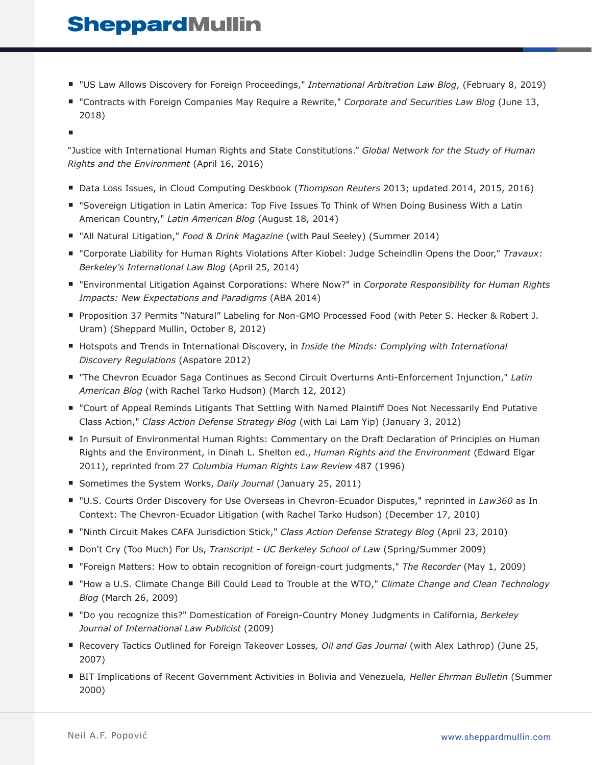- "US Law Allows Discovery for Foreign Proceedings," *International Arbitration Law Blog*, (February 8, 2019)
- "Contracts with Foreign Companies May Require a Rewrite," *Corporate and Securities Law Blog* (June 13, 2018)

■

"Justice with International Human Rights and State Constitutions." *Global Network for the Study of Human Rights and the Environment* (April 16, 2016)

- Data Loss Issues, in Cloud Computing Deskbook (*Thompson Reuters* 2013; updated 2014, 2015, 2016)
- "Sovereign Litigation in Latin America: Top Five Issues To Think of When Doing Business With a Latin American Country," *Latin American Blog* (August 18, 2014)
- "All Natural Litigation," *Food & Drink Magazine* (with Paul Seeley) (Summer 2014)
- "Corporate Liability for Human Rights Violations After Kiobel: Judge Scheindlin Opens the Door," Travaux: *Berkeley's International Law Blog* (April 25, 2014)
- "Environmental Litigation Against Corporations: Where Now?" in *Corporate Responsibility for Human Rights Impacts: New Expectations and Paradigms* (ABA 2014)
- Proposition 37 Permits "Natural" Labeling for Non-GMO Processed Food (with Peter S. Hecker & Robert J. Uram) (Sheppard Mullin, October 8, 2012)
- Hotspots and Trends in International Discovery, in *Inside the Minds: Complying with International Discovery Regulations* (Aspatore 2012)
- "The Chevron Ecuador Saga Continues as Second Circuit Overturns Anti-Enforcement Injunction," Latin *American Blog* (with Rachel Tarko Hudson) (March 12, 2012)
- "Court of Appeal Reminds Litigants That Settling With Named Plaintiff Does Not Necessarily End Putative Class Action," *Class Action Defense Strategy Blog* (with Lai Lam Yip) (January 3, 2012)
- In Pursuit of Environmental Human Rights: Commentary on the Draft Declaration of Principles on Human Rights and the Environment, in Dinah L. Shelton ed., *Human Rights and the Environment* (Edward Elgar 2011), reprinted from 27 *Columbia Human Rights Law Review* 487 (1996)
- Sometimes the System Works, *Daily Journal* (January 25, 2011)
- "U.S. Courts Order Discovery for Use Overseas in Chevron-Ecuador Disputes," reprinted in *Law360* as In Context: The Chevron-Ecuador Litigation (with Rachel Tarko Hudson) (December 17, 2010)
- "Ninth Circuit Makes CAFA Jurisdiction Stick," *Class Action Defense Strategy Blog* (April 23, 2010)
- Don't Cry (Too Much) For Us, *Transcript UC Berkeley School of Law* (Spring/Summer 2009)
- "Foreign Matters: How to obtain recognition of foreign-court judgments," *The Recorder* (May 1, 2009)
- "How a U.S. Climate Change Bill Could Lead to Trouble at the WTO," *Climate Change and Clean Technology Blog* (March 26, 2009)
- "Do you recognize this?" Domestication of Foreign-Country Money Judgments in California, *Berkeley Journal of International Law Publicist* (2009)
- Recovery Tactics Outlined for Foreign Takeover Losses, Oil and Gas Journal (with Alex Lathrop) (June 25, 2007)
- BIT Implications of Recent Government Activities in Bolivia and Venezuela, Heller Ehrman Bulletin (Summer 2000)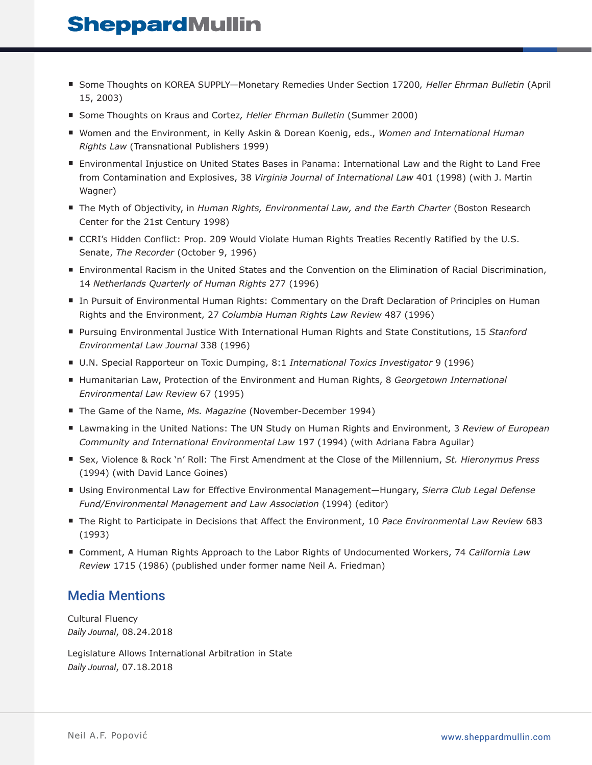- Some Thoughts on KOREA SUPPLY-Monetary Remedies Under Section 17200, Heller Ehrman Bulletin (April 15, 2003)
- Some Thoughts on Kraus and Cortez, Heller Ehrman Bulletin (Summer 2000)
- Women and the Environment, in Kelly Askin & Dorean Koenig, eds., *Women and International Human Rights Law* (Transnational Publishers 1999)
- Environmental Injustice on United States Bases in Panama: International Law and the Right to Land Free from Contamination and Explosives, 38 *Virginia Journal of International Law* 401 (1998) (with J. Martin Wagner)
- The Myth of Objectivity, in *Human Rights, Environmental Law, and the Earth Charter* (Boston Research Center for the 21st Century 1998)
- CCRI's Hidden Conflict: Prop. 209 Would Violate Human Rights Treaties Recently Ratified by the U.S. Senate, *The Recorder* (October 9, 1996)
- Environmental Racism in the United States and the Convention on the Elimination of Racial Discrimination, 14 *Netherlands Quarterly of Human Rights* 277 (1996)
- In Pursuit of Environmental Human Rights: Commentary on the Draft Declaration of Principles on Human Rights and the Environment, 27 *Columbia Human Rights Law Review* 487 (1996)
- Pursuing Environmental Justice With International Human Rights and State Constitutions, 15 *Stanford Environmental Law Journal* 338 (1996)
- U.N. Special Rapporteur on Toxic Dumping, 8:1 *International Toxics Investigator* 9 (1996)
- Humanitarian Law, Protection of the Environment and Human Rights, 8 *Georgetown International Environmental Law Review* 67 (1995)
- The Game of the Name, Ms. Magazine (November-December 1994)
- Lawmaking in the United Nations: The UN Study on Human Rights and Environment, 3 *Review of European Community and International Environmental Law* 197 (1994) (with Adriana Fabra Aguilar)
- Sex, Violence & Rock `n' Roll: The First Amendment at the Close of the Millennium, *St. Hieronymus Press* (1994) (with David Lance Goines)
- Using Environmental Law for Effective Environmental Management—Hungary, *Sierra Club Legal Defense Fund/Environmental Management and Law Association* (1994) (editor)
- The Right to Participate in Decisions that Affect the Environment, 10 *Pace Environmental Law Review* 683 (1993)
- Comment, A Human Rights Approach to the Labor Rights of Undocumented Workers, 74 *California Law Review* 1715 (1986) (published under former name Neil A. Friedman)

#### Media Mentions

Cultural Fluency *Daily Journal*, 08.24.2018

Legislature Allows International Arbitration in State *Daily Journal*, 07.18.2018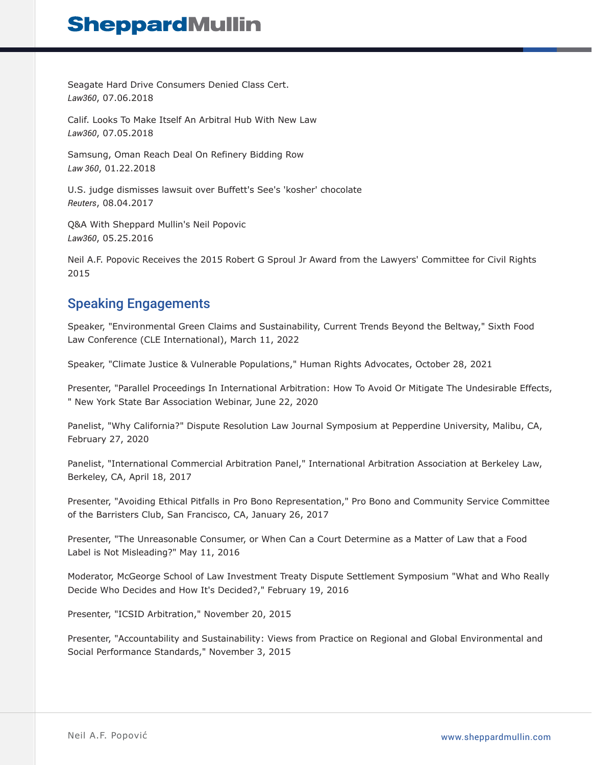Seagate Hard Drive Consumers Denied Class Cert. *Law360*, 07.06.2018

Calif. Looks To Make Itself An Arbitral Hub With New Law *Law360*, 07.05.2018

Samsung, Oman Reach Deal On Refinery Bidding Row *Law 360*, 01.22.2018

U.S. judge dismisses lawsuit over Buffett's See's 'kosher' chocolate *Reuters*, 08.04.2017

Q&A With Sheppard Mullin's Neil Popovic *Law360*, 05.25.2016

Neil A.F. Popovic Receives the 2015 Robert G Sproul Jr Award from the Lawyers' Committee for Civil Rights 2015

### Speaking Engagements

Speaker, "Environmental Green Claims and Sustainability, Current Trends Beyond the Beltway," Sixth Food Law Conference (CLE International), March 11, 2022

Speaker, "Climate Justice & Vulnerable Populations," Human Rights Advocates, October 28, 2021

Presenter, "Parallel Proceedings In International Arbitration: How To Avoid Or Mitigate The Undesirable Effects, " New York State Bar Association Webinar, June 22, 2020

Panelist, "Why California?" Dispute Resolution Law Journal Symposium at Pepperdine University, Malibu, CA, February 27, 2020

Panelist, "International Commercial Arbitration Panel," International Arbitration Association at Berkeley Law, Berkeley, CA, April 18, 2017

Presenter, "Avoiding Ethical Pitfalls in Pro Bono Representation," Pro Bono and Community Service Committee of the Barristers Club, San Francisco, CA, January 26, 2017

Presenter, "The Unreasonable Consumer, or When Can a Court Determine as a Matter of Law that a Food Label is Not Misleading?" May 11, 2016

Moderator, McGeorge School of Law Investment Treaty Dispute Settlement Symposium "What and Who Really Decide Who Decides and How It's Decided?," February 19, 2016

Presenter, "ICSID Arbitration," November 20, 2015

Presenter, "Accountability and Sustainability: Views from Practice on Regional and Global Environmental and Social Performance Standards," November 3, 2015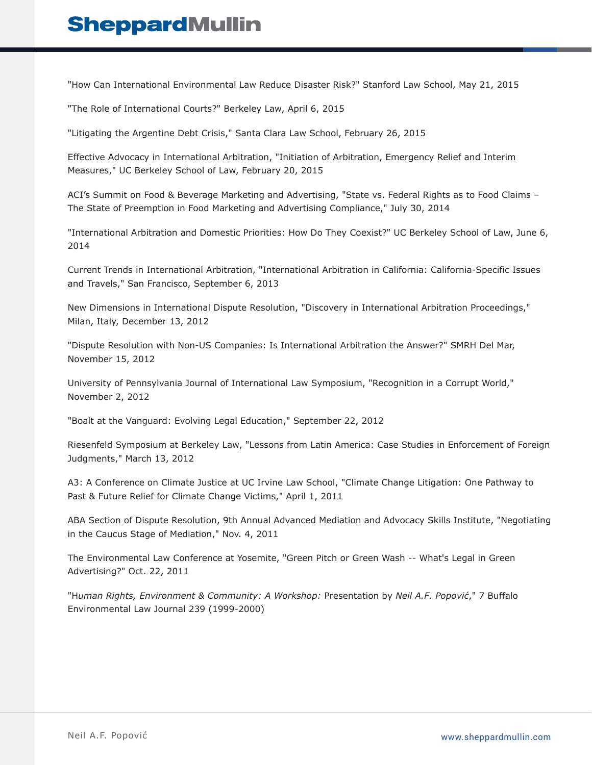"How Can International Environmental Law Reduce Disaster Risk?" Stanford Law School, May 21, 2015

"The Role of International Courts?" Berkeley Law, April 6, 2015

"Litigating the Argentine Debt Crisis," Santa Clara Law School, February 26, 2015

Effective Advocacy in International Arbitration, "Initiation of Arbitration, Emergency Relief and Interim Measures," UC Berkeley School of Law, February 20, 2015

ACI's Summit on Food & Beverage Marketing and Advertising, "State vs. Federal Rights as to Food Claims – The State of Preemption in Food Marketing and Advertising Compliance," July 30, 2014

"International Arbitration and Domestic Priorities: How Do They Coexist?" UC Berkeley School of Law, June 6, 2014

Current Trends in International Arbitration, "International Arbitration in California: California-Specific Issues and Travels," San Francisco, September 6, 2013

New Dimensions in International Dispute Resolution, "Discovery in International Arbitration Proceedings," Milan, Italy, December 13, 2012

"Dispute Resolution with Non-US Companies: Is International Arbitration the Answer?" SMRH Del Mar, November 15, 2012

University of Pennsylvania Journal of International Law Symposium, "Recognition in a Corrupt World," November 2, 2012

"Boalt at the Vanguard: Evolving Legal Education," September 22, 2012

Riesenfeld Symposium at Berkeley Law, "Lessons from Latin America: Case Studies in Enforcement of Foreign Judgments," March 13, 2012

A3: A Conference on Climate Justice at UC Irvine Law School, "Climate Change Litigation: One Pathway to Past & Future Relief for Climate Change Victims," April 1, 2011

ABA Section of Dispute Resolution, 9th Annual Advanced Mediation and Advocacy Skills Institute, "Negotiating in the Caucus Stage of Mediation," Nov. 4, 2011

The Environmental Law Conference at Yosemite, "Green Pitch or Green Wash -- What's Legal in Green Advertising?" Oct. 22, 2011

"H*uman Rights, Environment & Community: A Workshop:* Presentation by *Neil A.F. Popović*," 7 Buffalo Environmental Law Journal 239 (1999-2000)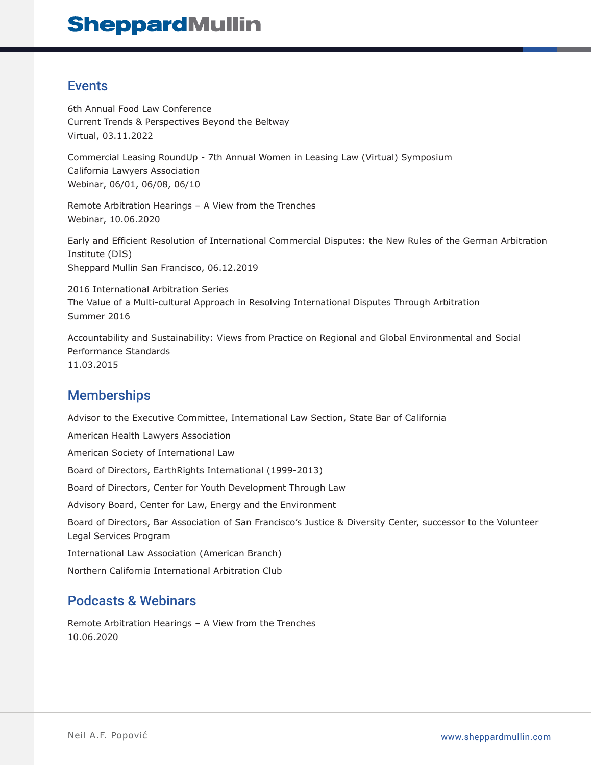### Events

6th Annual Food Law Conference Current Trends & Perspectives Beyond the Beltway Virtual, 03.11.2022

Commercial Leasing RoundUp - 7th Annual Women in Leasing Law (Virtual) Symposium California Lawyers Association Webinar, 06/01, 06/08, 06/10

Remote Arbitration Hearings – A View from the Trenches Webinar, 10.06.2020

Early and Efficient Resolution of International Commercial Disputes: the New Rules of the German Arbitration Institute (DIS) Sheppard Mullin San Francisco, 06.12.2019

2016 International Arbitration Series The Value of a Multi-cultural Approach in Resolving International Disputes Through Arbitration Summer 2016

Accountability and Sustainability: Views from Practice on Regional and Global Environmental and Social Performance Standards 11.03.2015

## **Memberships**

Advisor to the Executive Committee, International Law Section, State Bar of California American Health Lawyers Association American Society of International Law Board of Directors, EarthRights International (1999-2013) Board of Directors, Center for Youth Development Through Law Advisory Board, Center for Law, Energy and the Environment Board of Directors, Bar Association of San Francisco's Justice & Diversity Center, successor to the Volunteer Legal Services Program International Law Association (American Branch) Northern California International Arbitration Club

## Podcasts & Webinars

Remote Arbitration Hearings – A View from the Trenches 10.06.2020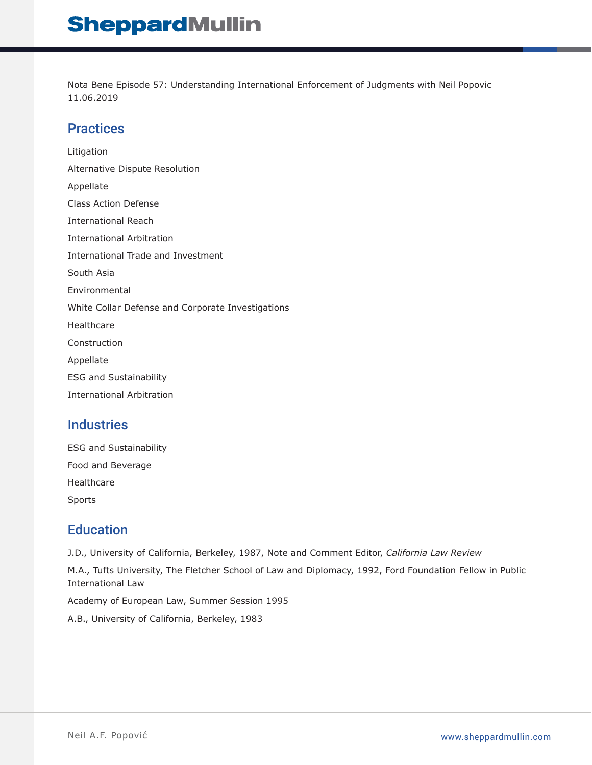Nota Bene Episode 57: Understanding International Enforcement of Judgments with Neil Popovic 11.06.2019

#### **Practices**

Litigation Alternative Dispute Resolution Appellate Class Action Defense International Reach International Arbitration International Trade and Investment South Asia Environmental White Collar Defense and Corporate Investigations Healthcare Construction Appellate ESG and Sustainability International Arbitration

#### **Industries**

| <b>ESG and Sustainability</b> |
|-------------------------------|
| Food and Beverage             |
| Healthcare                    |
| Sports                        |

## **Education**

J.D., University of California, Berkeley, 1987, Note and Comment Editor, *California Law Review*

M.A., Tufts University, The Fletcher School of Law and Diplomacy, 1992, Ford Foundation Fellow in Public International Law

Academy of European Law, Summer Session 1995

A.B., University of California, Berkeley, 1983